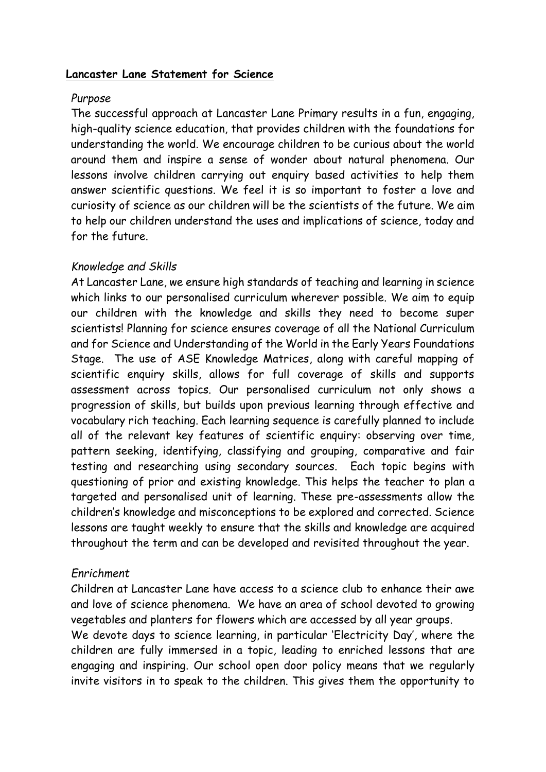## **Lancaster Lane Statement for Science**

## *Purpose*

The successful approach at Lancaster Lane Primary results in a fun, engaging, high-quality science education, that provides children with the foundations for understanding the world. We encourage children to be curious about the world around them and inspire a sense of wonder about natural phenomena. Our lessons involve children carrying out enquiry based activities to help them answer scientific questions. We feel it is so important to foster a love and curiosity of science as our children will be the scientists of the future. We aim to help our children understand the uses and implications of science, today and for the future.

# *Knowledge and Skills*

At Lancaster Lane, we ensure high standards of teaching and learning in science which links to our personalised curriculum wherever possible. We aim to equip our children with the knowledge and skills they need to become super scientists! Planning for science ensures coverage of all the National Curriculum and for Science and Understanding of the World in the Early Years Foundations Stage. The use of ASE Knowledge Matrices, along with careful mapping of scientific enquiry skills, allows for full coverage of skills and supports assessment across topics. Our personalised curriculum not only shows a progression of skills, but builds upon previous learning through effective and vocabulary rich teaching. Each learning sequence is carefully planned to include all of the relevant key features of scientific enquiry: observing over time, pattern seeking, identifying, classifying and grouping, comparative and fair testing and researching using secondary sources. Each topic begins with questioning of prior and existing knowledge. This helps the teacher to plan a targeted and personalised unit of learning. These pre-assessments allow the children's knowledge and misconceptions to be explored and corrected. Science lessons are taught weekly to ensure that the skills and knowledge are acquired throughout the term and can be developed and revisited throughout the year.

# *Enrichment*

Children at Lancaster Lane have access to a science club to enhance their awe and love of science phenomena. We have an area of school devoted to growing vegetables and planters for flowers which are accessed by all year groups.

We devote days to science learning, in particular 'Electricity Day', where the children are fully immersed in a topic, leading to enriched lessons that are engaging and inspiring. Our school open door policy means that we regularly invite visitors in to speak to the children. This gives them the opportunity to